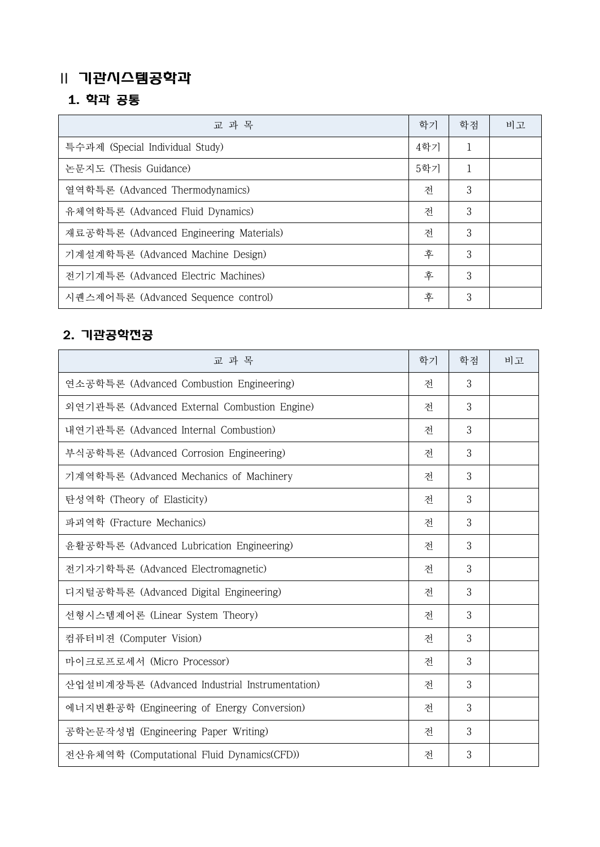## Ⅱ 기관시스템공학과

## 1. 학과 공통

| 교 과 목                                   | 학기  | 학점 | 비고 |
|-----------------------------------------|-----|----|----|
| 특수과제 (Special Individual Study)         | 4학기 |    |    |
| 논문지도 (Thesis Guidance)                  | 5학기 |    |    |
| 열역학특론 (Advanced Thermodynamics)         | 전   | 3  |    |
| 유체역학특론 (Advanced Fluid Dynamics)        | 전   | 3  |    |
| 재료공학특론 (Advanced Engineering Materials) | 전   | 3  |    |
| 기계설계학특론 (Advanced Machine Design)       | 후   | 3  |    |
| 전기기계특론 (Advanced Electric Machines)     | 후   | 3  |    |
| 시퀜스제어특론 (Advanced Sequence control)     | 후   | 3  |    |

## 2. 기관공학전공

| 교 과 목                                          | 학기 | 학점 | 비고 |
|------------------------------------------------|----|----|----|
| 연소공학특론 (Advanced Combustion Engineering)       | 전  | 3  |    |
| 외연기관특론 (Advanced External Combustion Engine)   | 전  | 3  |    |
| 내연기관특론 (Advanced Internal Combustion)          | 전  | 3  |    |
| 부식공학특론 (Advanced Corrosion Engineering)        | 전  | 3  |    |
| 기계역학특론 (Advanced Mechanics of Machinery        | 전  | 3  |    |
| 탄성역학 (Theory of Elasticity)                    | 전  | 3  |    |
| 파괴역학 (Fracture Mechanics)                      | 전  | 3  |    |
| 윤활공학특론 (Advanced Lubrication Engineering)      | 전  | 3  |    |
| 전기자기학특론 (Advanced Electromagnetic)             | 전  | 3  |    |
| 디지털공학특론 (Advanced Digital Engineering)         | 전  | 3  |    |
| 선형시스템제어론 (Linear System Theory)                | 전  | 3  |    |
| 컴퓨터비젼 (Computer Vision)                        | 전  | 3  |    |
| 마이크로프로세서 (Micro Processor)                     | 전  | 3  |    |
| 산업설비계장특론 (Advanced Industrial Instrumentation) | 전  | 3  |    |
| 에너지변환공학 (Engineering of Energy Conversion)     | 전  | 3  |    |
| 공학논문작성법 (Engineering Paper Writing)            | 전  | 3  |    |
| 전산유체역학 (Computational Fluid Dynamics(CFD))     | 전  | 3  |    |